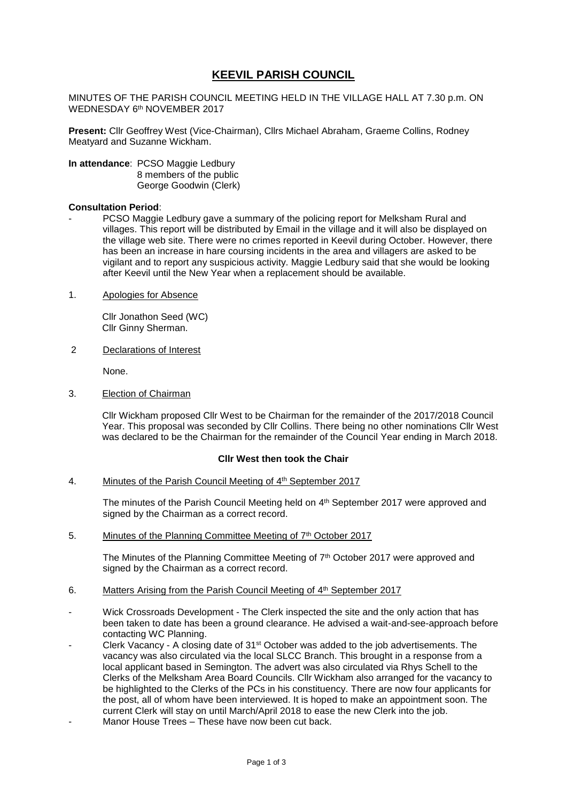# **KEEVIL PARISH COUNCIL**

MINUTES OF THE PARISH COUNCIL MEETING HELD IN THE VILLAGE HALL AT 7.30 p.m. ON WEDNESDAY 6<sup>th</sup> NOVEMBER 2017

**Present:** Cllr Geoffrey West (Vice-Chairman), Cllrs Michael Abraham, Graeme Collins, Rodney Meatyard and Suzanne Wickham.

**In attendance**: PCSO Maggie Ledbury 8 members of the public George Goodwin (Clerk)

### **Consultation Period**:

- PCSO Maggie Ledbury gave a summary of the policing report for Melksham Rural and villages. This report will be distributed by Email in the village and it will also be displayed on the village web site. There were no crimes reported in Keevil during October. However, there has been an increase in hare coursing incidents in the area and villagers are asked to be vigilant and to report any suspicious activity. Maggie Ledbury said that she would be looking after Keevil until the New Year when a replacement should be available.
- 1. Apologies for Absence

Cllr Jonathon Seed (WC) Cllr Ginny Sherman.

2 Declarations of Interest

None.

3. Election of Chairman

Cllr Wickham proposed Cllr West to be Chairman for the remainder of the 2017/2018 Council Year. This proposal was seconded by Cllr Collins. There being no other nominations Cllr West was declared to be the Chairman for the remainder of the Council Year ending in March 2018.

### **Cllr West then took the Chair**

4. Minutes of the Parish Council Meeting of 4<sup>th</sup> September 2017

The minutes of the Parish Council Meeting held on 4<sup>th</sup> September 2017 were approved and signed by the Chairman as a correct record.

5. Minutes of the Planning Committee Meeting of 7<sup>th</sup> October 2017

The Minutes of the Planning Committee Meeting of  $7<sup>th</sup>$  October 2017 were approved and signed by the Chairman as a correct record.

- 6. Matters Arising from the Parish Council Meeting of 4<sup>th</sup> September 2017
- Wick Crossroads Development The Clerk inspected the site and the only action that has been taken to date has been a ground clearance. He advised a wait-and-see-approach before contacting WC Planning.
- Clerk Vacancy A closing date of  $31<sup>st</sup>$  October was added to the job advertisements. The vacancy was also circulated via the local SLCC Branch. This brought in a response from a local applicant based in Semington. The advert was also circulated via Rhys Schell to the Clerks of the Melksham Area Board Councils. Cllr Wickham also arranged for the vacancy to be highlighted to the Clerks of the PCs in his constituency. There are now four applicants for the post, all of whom have been interviewed. It is hoped to make an appointment soon. The current Clerk will stay on until March/April 2018 to ease the new Clerk into the job.
- Manor House Trees These have now been cut back.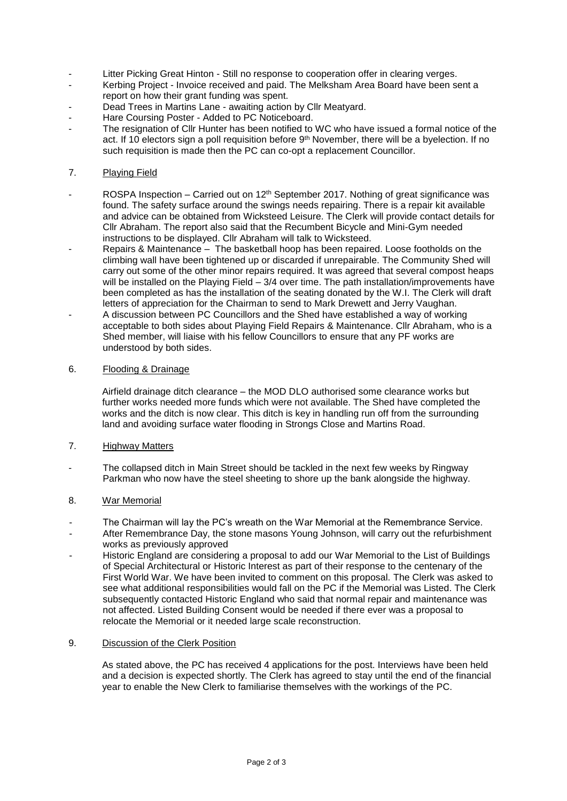- Litter Picking Great Hinton Still no response to cooperation offer in clearing verges.
- Kerbing Project Invoice received and paid. The Melksham Area Board have been sent a report on how their grant funding was spent.
- Dead Trees in Martins Lane awaiting action by Cllr Meatyard.
- Hare Coursing Poster Added to PC Noticeboard.
- The resignation of Cllr Hunter has been notified to WC who have issued a formal notice of the act. If 10 electors sign a poll requisition before 9<sup>th</sup> November, there will be a byelection. If no such requisition is made then the PC can co-opt a replacement Councillor.

## 7. Playing Field

- ROSPA Inspection Carried out on 12<sup>th</sup> September 2017. Nothing of great significance was found. The safety surface around the swings needs repairing. There is a repair kit available and advice can be obtained from Wicksteed Leisure. The Clerk will provide contact details for Cllr Abraham. The report also said that the Recumbent Bicycle and Mini-Gym needed instructions to be displayed. Cllr Abraham will talk to Wicksteed.
- Repairs & Maintenance The basketball hoop has been repaired. Loose footholds on the climbing wall have been tightened up or discarded if unrepairable. The Community Shed will carry out some of the other minor repairs required. It was agreed that several compost heaps will be installed on the Playing Field – 3/4 over time. The path installation/improvements have been completed as has the installation of the seating donated by the W.I. The Clerk will draft letters of appreciation for the Chairman to send to Mark Drewett and Jerry Vaughan.
- A discussion between PC Councillors and the Shed have established a way of working acceptable to both sides about Playing Field Repairs & Maintenance. Cllr Abraham, who is a Shed member, will liaise with his fellow Councillors to ensure that any PF works are understood by both sides.

# 6. Flooding & Drainage

Airfield drainage ditch clearance – the MOD DLO authorised some clearance works but further works needed more funds which were not available. The Shed have completed the works and the ditch is now clear. This ditch is key in handling run off from the surrounding land and avoiding surface water flooding in Strongs Close and Martins Road.

### 7. Highway Matters

The collapsed ditch in Main Street should be tackled in the next few weeks by Ringway Parkman who now have the steel sheeting to shore up the bank alongside the highway.

# 8. War Memorial

- The Chairman will lay the PC's wreath on the War Memorial at the Remembrance Service.
- After Remembrance Day, the stone masons Young Johnson, will carry out the refurbishment works as previously approved
- Historic England are considering a proposal to add our War Memorial to the List of Buildings of Special Architectural or Historic Interest as part of their response to the centenary of the First World War. We have been invited to comment on this proposal. The Clerk was asked to see what additional responsibilities would fall on the PC if the Memorial was Listed. The Clerk subsequently contacted Historic England who said that normal repair and maintenance was not affected. Listed Building Consent would be needed if there ever was a proposal to relocate the Memorial or it needed large scale reconstruction.

### 9. Discussion of the Clerk Position

As stated above, the PC has received 4 applications for the post. Interviews have been held and a decision is expected shortly. The Clerk has agreed to stay until the end of the financial year to enable the New Clerk to familiarise themselves with the workings of the PC.